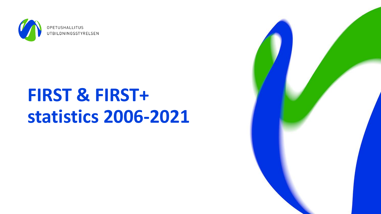

# **FIRST & FIRST+ statistics 2006-2021**

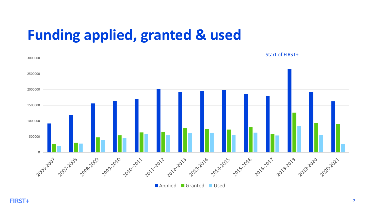# **Funding applied, granted & used**

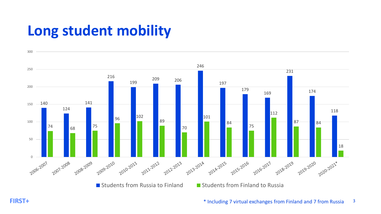### **Long student mobility**



**FIRST+** \* Including 7 virtual exchanges from Finland and 7 from Russia <sup>3</sup>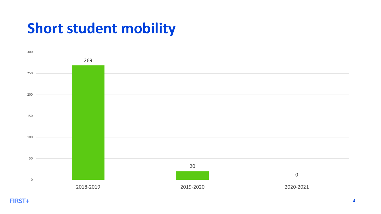## **Short student mobility**

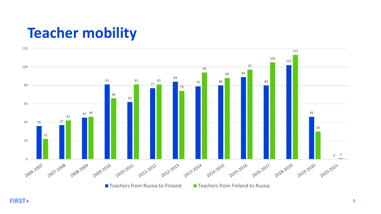### **Teacher mobility**

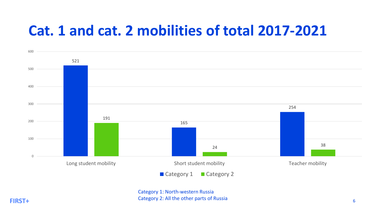#### **Cat. 1 and cat. 2 mobilities of total 2017-2021**



Category 1: North-western Russia Category 2: All the other parts of Russia **FIRST+**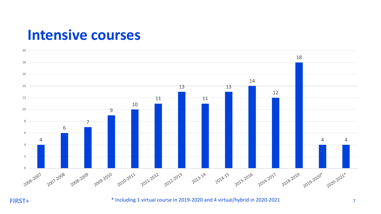#### **Intensive courses**



**FIRST+**

<sup>\*</sup> Including 1 virtual course in 2019-2020 and 4 virtual/hybrid in 2020-2021 7